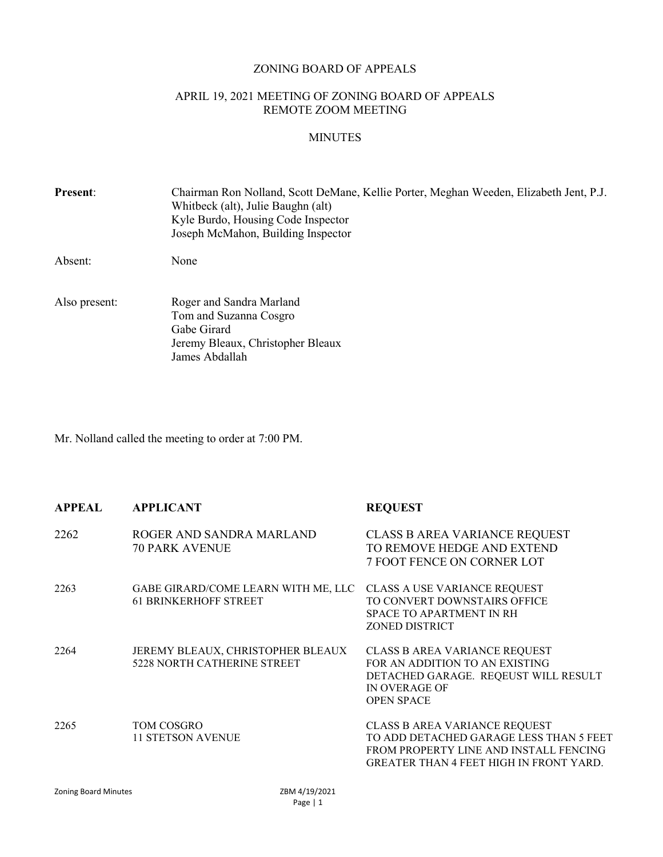#### ZONING BOARD OF APPEALS

# APRIL 19, 2021 MEETING OF ZONING BOARD OF APPEALS REMOTE ZOOM MEETING

# MINUTES

| <b>Present:</b> | Chairman Ron Nolland, Scott DeMane, Kellie Porter, Meghan Weeden, Elizabeth Jent, P.J.<br>Whitbeck (alt), Julie Baughn (alt)<br>Kyle Burdo, Housing Code Inspector<br>Joseph McMahon, Building Inspector |
|-----------------|----------------------------------------------------------------------------------------------------------------------------------------------------------------------------------------------------------|
| Absent:         | None                                                                                                                                                                                                     |
| Also present:   | Roger and Sandra Marland<br>Tom and Suzanna Cosgro<br>Gabe Girard<br>Jeremy Bleaux, Christopher Bleaux<br>James Abdallah                                                                                 |

Mr. Nolland called the meeting to order at 7:00 PM.

| <b>APPEAL</b> | <b>APPLICANT</b>                                                        | <b>REQUEST</b>                                                                                                                                                       |
|---------------|-------------------------------------------------------------------------|----------------------------------------------------------------------------------------------------------------------------------------------------------------------|
| 2262          | ROGER AND SANDRA MARLAND<br><b>70 PARK AVENUE</b>                       | <b>CLASS B AREA VARIANCE REQUEST</b><br>TO REMOVE HEDGE AND EXTEND<br>7 FOOT FENCE ON CORNER LOT                                                                     |
| 2263          | GABE GIRARD/COME LEARN WITH ME, LLC<br><b>61 BRINKERHOFF STREET</b>     | <b>CLASS A USE VARIANCE REQUEST</b><br>TO CONVERT DOWNSTAIRS OFFICE<br>SPACE TO APARTMENT IN RH<br><b>ZONED DISTRICT</b>                                             |
| 2264          | JEREMY BLEAUX, CHRISTOPHER BLEAUX<br><b>5228 NORTH CATHERINE STREET</b> | CLASS B AREA VARIANCE REQUEST<br>FOR AN ADDITION TO AN EXISTING<br>DETACHED GARAGE. REQEUST WILL RESULT<br><b>IN OVERAGE OF</b><br><b>OPEN SPACE</b>                 |
| 2265          | TOM COSGRO<br><b>11 STETSON AVENUE</b>                                  | CLASS B AREA VARIANCE REQUEST<br>TO ADD DETACHED GARAGE LESS THAN 5 FEET<br>FROM PROPERTY LINE AND INSTALL FENCING<br><b>GREATER THAN 4 FEET HIGH IN FRONT YARD.</b> |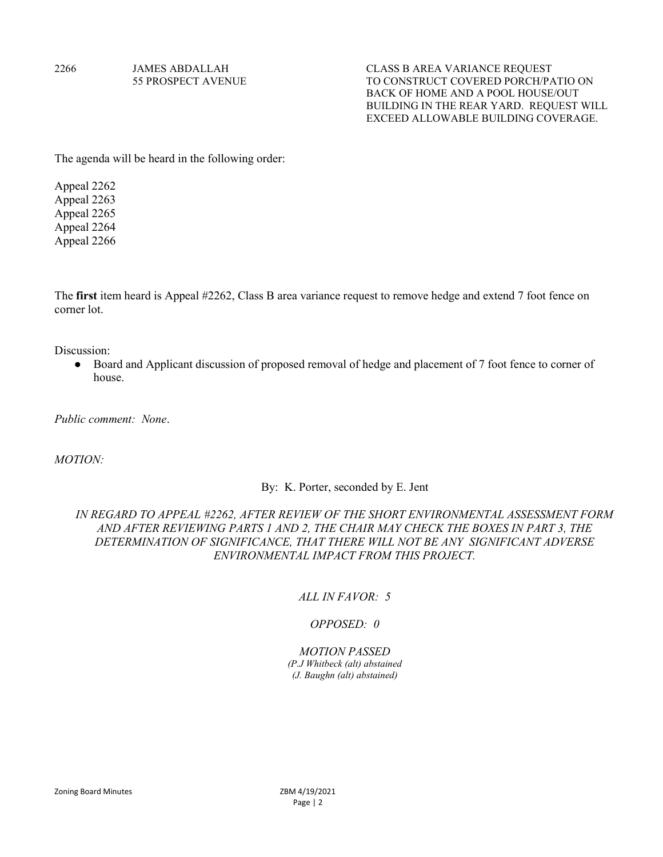2266 JAMES ABDALLAH CLASS B AREA VARIANCE REQUEST 55 PROSPECT AVENUE TO CONSTRUCT COVERED PORCH/PATIO ON BACK OF HOME AND A POOL HOUSE/OUT BUILDING IN THE REAR YARD. REQUEST WILL EXCEED ALLOWABLE BUILDING COVERAGE.

The agenda will be heard in the following order:

Appeal 2262 Appeal 2263 Appeal 2265 Appeal 2264 Appeal 2266

The first item heard is Appeal #2262, Class B area variance request to remove hedge and extend 7 foot fence on corner lot.

Discussion:

● Board and Applicant discussion of proposed removal of hedge and placement of 7 foot fence to corner of house.

Public comment: None.

MOTION:

#### By: K. Porter, seconded by E. Jent

# IN REGARD TO APPEAL #2262, AFTER REVIEW OF THE SHORT ENVIRONMENTAL ASSESSMENT FORM AND AFTER REVIEWING PARTS 1 AND 2, THE CHAIR MAY CHECK THE BOXES IN PART 3, THE DETERMINATION OF SIGNIFICANCE, THAT THERE WILL NOT BE ANY SIGNIFICANT ADVERSE ENVIRONMENTAL IMPACT FROM THIS PROJECT.

### ALL IN FAVOR: 5

#### OPPOSED: 0

#### MOTION PASSED

(P.J Whitbeck (alt) abstained (J. Baughn (alt) abstained)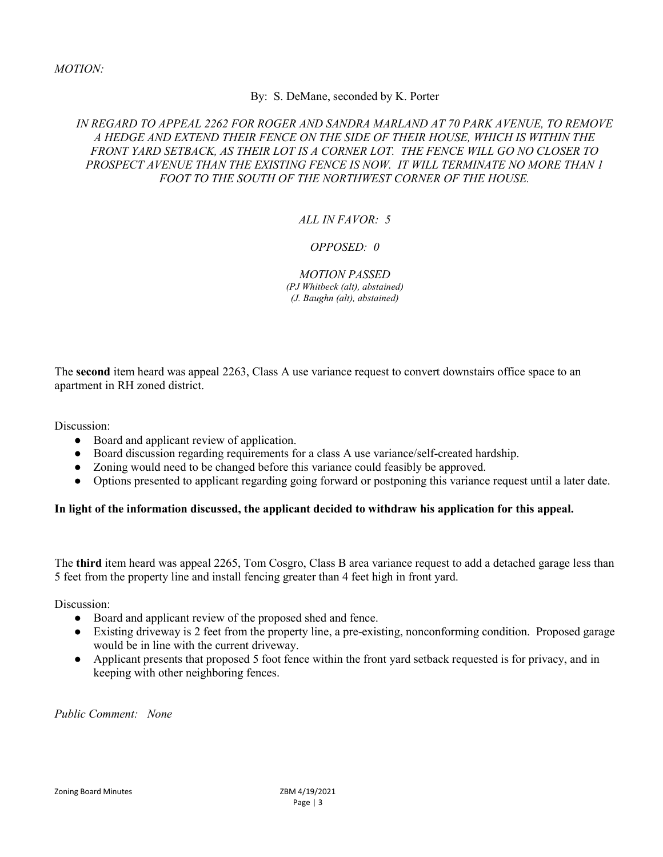## By: S. DeMane, seconded by K. Porter

# IN REGARD TO APPEAL 2262 FOR ROGER AND SANDRA MARLAND AT 70 PARK AVENUE, TO REMOVE A HEDGE AND EXTEND THEIR FENCE ON THE SIDE OF THEIR HOUSE, WHICH IS WITHIN THE FRONT YARD SETBACK, AS THEIR LOT IS A CORNER LOT. THE FENCE WILL GO NO CLOSER TO PROSPECT AVENUE THAN THE EXISTING FENCE IS NOW. IT WILL TERMINATE NO MORE THAN 1 FOOT TO THE SOUTH OF THE NORTHWEST CORNER OF THE HOUSE.

# ALL IN FAVOR: 5

# OPPOSED: 0

MOTION PASSED (PJ Whitbeck (alt), abstained) (J. Baughn (alt), abstained)

The second item heard was appeal 2263, Class A use variance request to convert downstairs office space to an apartment in RH zoned district.

Discussion:

- Board and applicant review of application.
- Board discussion regarding requirements for a class A use variance/self-created hardship.
- Zoning would need to be changed before this variance could feasibly be approved.
- Options presented to applicant regarding going forward or postponing this variance request until a later date.

## In light of the information discussed, the applicant decided to withdraw his application for this appeal.

The third item heard was appeal 2265, Tom Cosgro, Class B area variance request to add a detached garage less than 5 feet from the property line and install fencing greater than 4 feet high in front yard.

Discussion:

- Board and applicant review of the proposed shed and fence.
- Existing driveway is 2 feet from the property line, a pre-existing, nonconforming condition. Proposed garage would be in line with the current driveway.
- Applicant presents that proposed 5 foot fence within the front yard setback requested is for privacy, and in keeping with other neighboring fences.

Public Comment: None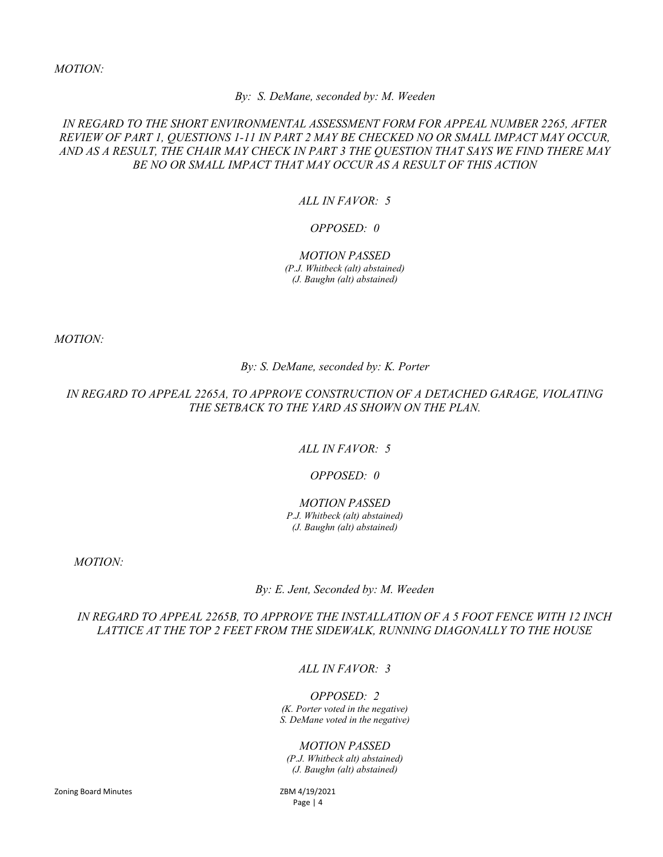MOTION:

By: S. DeMane, seconded by: M. Weeden

# IN REGARD TO THE SHORT ENVIRONMENTAL ASSESSMENT FORM FOR APPEAL NUMBER 2265, AFTER REVIEW OF PART 1, QUESTIONS 1-11 IN PART 2 MAY BE CHECKED NO OR SMALL IMPACT MAY OCCUR, AND AS A RESULT, THE CHAIR MAY CHECK IN PART 3 THE QUESTION THAT SAYS WE FIND THERE MAY BE NO OR SMALL IMPACT THAT MAY OCCUR AS A RESULT OF THIS ACTION

# ALL IN FAVOR: 5

## OPPOSED: 0

MOTION PASSED (P.J. Whitbeck (alt) abstained) (J. Baughn (alt) abstained)

MOTION:

By: S. DeMane, seconded by: K. Porter

IN REGARD TO APPEAL 2265A, TO APPROVE CONSTRUCTION OF A DETACHED GARAGE, VIOLATING THE SETBACK TO THE YARD AS SHOWN ON THE PLAN.

ALL IN FAVOR: 5

## OPPOSED: 0

#### MOTION PASSED

P.J. Whitbeck (alt) abstained) (J. Baughn (alt) abstained)

MOTION:

By: E. Jent, Seconded by: M. Weeden

IN REGARD TO APPEAL 2265B, TO APPROVE THE INSTALLATION OF A 5 FOOT FENCE WITH 12 INCH LATTICE AT THE TOP 2 FEET FROM THE SIDEWALK, RUNNING DIAGONALLY TO THE HOUSE

ALL IN FAVOR: 3

OPPOSED: 2 (K. Porter voted in the negative) S. DeMane voted in the negative)

## MOTION PASSED

(P.J. Whitbeck alt) abstained) (J. Baughn (alt) abstained)

Zoning Board Minutes **ZBM 4/19/2021** 

Page | 4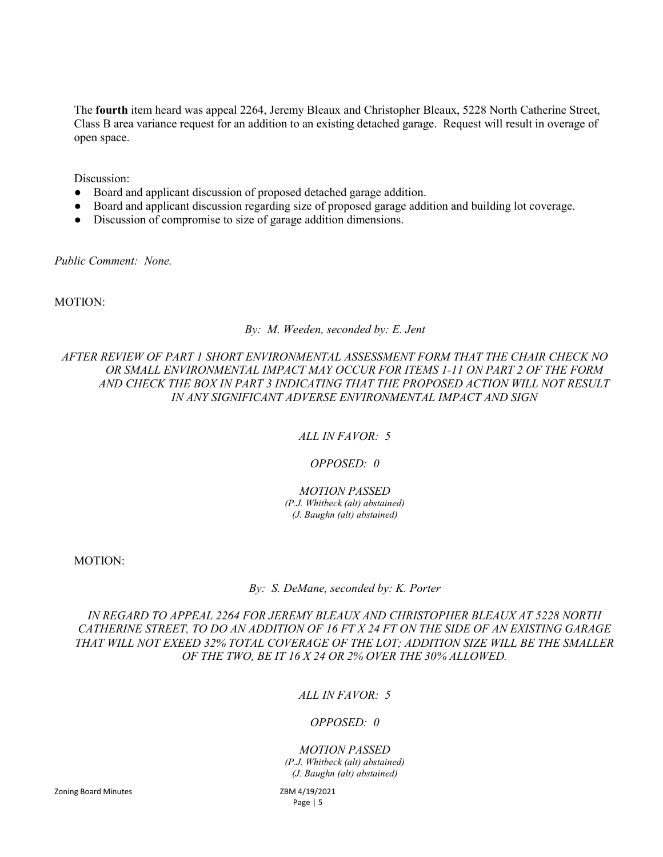The fourth item heard was appeal 2264, Jeremy Bleaux and Christopher Bleaux, 5228 North Catherine Street, Class B area variance request for an addition to an existing detached garage. Request will result in overage of open space.

Discussion:

- Board and applicant discussion of proposed detached garage addition.
- Board and applicant discussion regarding size of proposed garage addition and building lot coverage.
- Discussion of compromise to size of garage addition dimensions.

Public Comment: None.

MOTION:

### By: M. Weeden, seconded by: E. Jent

# AFTER REVIEW OF PART 1 SHORT ENVIRONMENTAL ASSESSMENT FORM THAT THE CHAIR CHECK NO OR SMALL ENVIRONMENTAL IMPACT MAY OCCUR FOR ITEMS 1-11 ON PART 2 OF THE FORM AND CHECK THE BOX IN PART 3 INDICATING THAT THE PROPOSED ACTION WILL NOT RESULT IN ANY SIGNIFICANT ADVERSE ENVIRONMENTAL IMPACT AND SIGN

## ALL IN FAVOR: 5

# OPPOSED: 0

#### MOTION PASSED (P.J. Whitbeck (alt) abstained) (J. Baughn (alt) abstained)

MOTION:

By: S. DeMane, seconded by: K. Porter

IN REGARD TO APPEAL 2264 FOR JEREMY BLEAUX AND CHRISTOPHER BLEAUX AT 5228 NORTH CATHERINE STREET, TO DO AN ADDITION OF 16 FT X 24 FT ON THE SIDE OF AN EXISTING GARAGE THAT WILL NOT EXEED 32% TOTAL COVERAGE OF THE LOT; ADDITION SIZE WILL BE THE SMALLER OF THE TWO, BE IT 16 X 24 OR 2% OVER THE 30% ALLOWED.

# ALL IN FAVOR: 5

## OPPOSED: 0

## MOTION PASSED (P.J. Whitbeck (alt) abstained)

(J. Baughn (alt) abstained)

Page | 5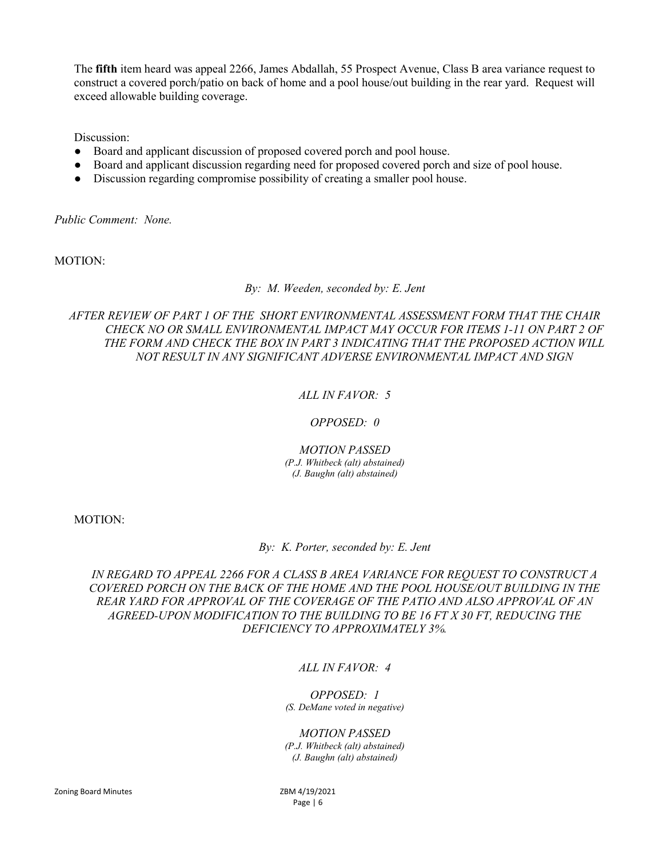The fifth item heard was appeal 2266, James Abdallah, 55 Prospect Avenue, Class B area variance request to construct a covered porch/patio on back of home and a pool house/out building in the rear yard. Request will exceed allowable building coverage.

Discussion:

- Board and applicant discussion of proposed covered porch and pool house.
- Board and applicant discussion regarding need for proposed covered porch and size of pool house.
- Discussion regarding compromise possibility of creating a smaller pool house.

Public Comment: None.

MOTION:

By: M. Weeden, seconded by: E. Jent

AFTER REVIEW OF PART 1 OF THE SHORT ENVIRONMENTAL ASSESSMENT FORM THAT THE CHAIR CHECK NO OR SMALL ENVIRONMENTAL IMPACT MAY OCCUR FOR ITEMS 1-11 ON PART 2 OF THE FORM AND CHECK THE BOX IN PART 3 INDICATING THAT THE PROPOSED ACTION WILL NOT RESULT IN ANY SIGNIFICANT ADVERSE ENVIRONMENTAL IMPACT AND SIGN

# ALL IN FAVOR: 5

## OPPOSED: 0

MOTION PASSED

(P.J. Whitbeck (alt) abstained) (J. Baughn (alt) abstained)

MOTION:

By: K. Porter, seconded by: E. Jent

IN REGARD TO APPEAL 2266 FOR A CLASS B AREA VARIANCE FOR REQUEST TO CONSTRUCT A COVERED PORCH ON THE BACK OF THE HOME AND THE POOL HOUSE/OUT BUILDING IN THE REAR YARD FOR APPROVAL OF THE COVERAGE OF THE PATIO AND ALSO APPROVAL OF AN AGREED-UPON MODIFICATION TO THE BUILDING TO BE 16 FT X 30 FT, REDUCING THE DEFICIENCY TO APPROXIMATELY 3%.

# ALL IN FAVOR: 4

OPPOSED: 1 (S. DeMane voted in negative)

MOTION PASSED

(P.J. Whitbeck (alt) abstained) (J. Baughn (alt) abstained)

Page | 6